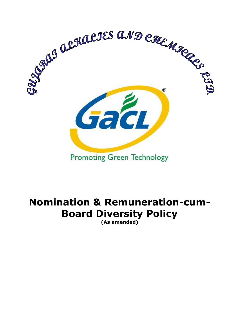

# **Nomination & Remuneration-cum-Board Diversity Policy**

**(As amended)**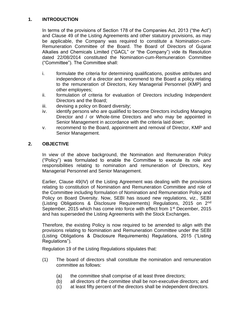# **1. INTRODUCTION**

In terms of the provisions of Section 178 of the Companies Act, 2013 ("the Act") and Clause 49 of the Listing Agreements and other statutory provisions, as may be applicable, the Company was required to constitute a Nomination-cum-Remuneration Committee of the Board. The Board of Directors of Gujarat Alkalies and Chemicals Limited ("GACL" or "the Company") vide its Resolution dated 22/08/2014 constituted the Nomination-cum-Remuneration Committee ("Committee"). The Committee shall:

- i. formulate the criteria for determining qualifications, positive attributes and independence of a director and recommend to the Board a policy relating to the remuneration of Directors, Key Managerial Personnel (KMP) and other employees;
- ii. formulation of criteria for evaluation of Directors including Independent Directors and the Board;
- iii. devising a policy on Board diversity;
- iv. identify persons who are qualified to become Directors including Managing Director and / or Whole-time Directors and who may be appointed in Senior Management in accordance with the criteria laid down;
- v. recommend to the Board, appointment and removal of Director, KMP and Senior Management.

# **2. OBJECTIVE**

In view of the above background, the Nomination and Remuneration Policy ("Policy") was formulated to enable the Committee to execute its role and responsibilities relating to nomination and remuneration of Directors, Key Managerial Personnel and Senior Management.

Earlier, Clause 49(IV) of the Listing Agreement was dealing with the provisions relating to constitution of Nomination and Remuneration Committee and role of the Committee including formulation of Nomination and Remuneration Policy and Policy on Board Diversity. Now, SEBI has issued new regulations, viz., SEBI (Listing Obligations & Disclosure Requirements) Regulations, 2015 on 2nd September, 2015 which has come into force with effect from 1<sup>st</sup> December, 2015 and has superseded the Listing Agreements with the Stock Exchanges.

Therefore, the existing Policy is now required to be amended to align with the provisions relating to Nomination and Remuneration Committee under the SEBI (Listing Obligations & Disclosure Requirements) Regulations, 2015 ("Listing Regulations").

Regulation 19 of the Listing Regulations stipulates that:

- (1) The board of directors shall constitute the nomination and remuneration committee as follows:
	- (a) the committee shall comprise of at least three directors;
	- (b) all directors of the committee shall be non-executive directors; and
	- (c) at least fifty percent of the directors shall be independent directors.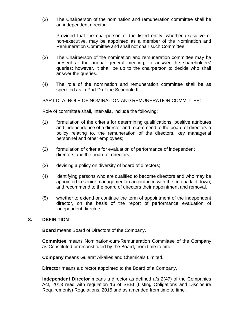(2) The Chairperson of the nomination and remuneration committee shall be an independent director:

Provided that the chairperson of the listed entity, whether executive or non-executive, may be appointed as a member of the Nomination and Remuneration Committee and shall not chair such Committee.

- (3) The Chairperson of the nomination and remuneration committee may be present at the annual general meeting, to answer the shareholders' queries; however, it shall be up to the chairperson to decide who shall answer the queries.
- (4) The role of the nomination and remuneration committee shall be as specified as in Part D of the Schedule II.

PART D: A. ROLE OF NOMINATION AND REMUNERATION COMMITTEE:

Role of committee shall, inter-alia, include the following:

- (1) formulation of the criteria for determining qualifications, positive attributes and independence of a director and recommend to the board of directors a policy relating to, the remuneration of the directors, key managerial personnel and other employees;
- (2) formulation of criteria for evaluation of performance of independent directors and the board of directors;
- (3) devising a policy on diversity of board of directors;
- (4) identifying persons who are qualified to become directors and who may be appointed in senior management in accordance with the criteria laid down, and recommend to the board of directors their appointment and removal.
- (5) whether to extend or continue the term of appointment of the independent director, on the basis of the report of performance evaluation of independent directors.

#### **3. DEFINITION**

**Board** means Board of Directors of the Company.

**Committee** means Nomination-cum-Remuneration Committee of the Company as Constituted or reconstituted by the Board, from time to time.

**Company** means Gujarat Alkalies and Chemicals Limited.

**Director** means a director appointed to the Board of a Company.

**Independent Director** means a director as defined u/s 2(47) of the Companies Act, 2013 read with regulation 16 of SEBI (Listing Obligations and Disclosure Requirements) Regulations, 2015 and as amended from time to time<sup>i</sup>.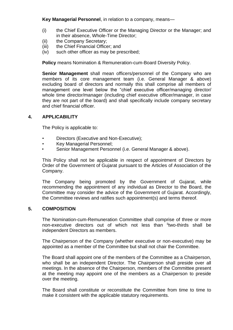**Key Managerial Personnel**, in relation to a company, means—

- (i) the Chief Executive Officer or the Managing Director or the Manager; and in their absence, Whole-Time Director;
- (ii) the Company Secretary;
- (iii) the Chief Financial Officer; and
- (iv) such other officer as may be prescribed;

**Policy** means Nomination & Remuneration-cum-Board Diversity Policy.

**Senior Management** shall mean officers/personnel of the Company who are members of its core management team (i.e. General Manager & above) excluding board of directors and normally this shall comprise all members of management one level below the "chief executive officer/managing director/ whole time director/manager (including chief executive officer/manager, in case they are not part of the board) and shall specifically include company secretary and chief financial officer.

#### **4. APPLICABILITY**

The Policy is applicable to:

- Directors (Executive and Non-Executive);
- Key Managerial Personnel;
- Senior Management Personnel (i.e. General Manager & above).

This Policy shall not be applicable in respect of appointment of Directors by Order of the Government of Gujarat pursuant to the Articles of Association of the Company.

The Company being promoted by the Government of Gujarat, while recommending the appointment of any individual as Director to the Board, the Committee may consider the advice of the Government of Gujarat. Accordingly, the Committee reviews and ratifies such appointment(s) and terms thereof.

## **5. COMPOSITION**

The Nomination-cum-Remuneration Committee shall comprise of three or more non-executive directors out of which not less than "two-thirds shall be independent Directors as members.

The Chairperson of the Company (whether executive or non-executive) may be appointed as a member of the Committee but shall not chair the Committee.

The Board shall appoint one of the members of the Committee as a Chairperson, who shall be an independent Director. The Chairperson shall preside over all meetings. In the absence of the Chairperson, members of the Committee present at the meeting may appoint one of the members as a Chairperson to preside over the meeting.

The Board shall constitute or reconstitute the Committee from time to time to make it consistent with the applicable statutory requirements.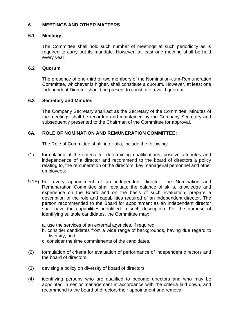## **6. MEETINGS AND OTHER MATTERS**

#### **6.1 Meetings**

The Committee shall hold such number of meetings at such periodicity as is required to carry out its mandate. However, at least one meeting shall be held every year.

#### **6.2 Quorum**

The presence of one-third or two members of the Nomination-cum-Remuneration Committee, whichever is higher, shall constitute a quorum. However, at least one Independent Director should be present to constitute a valid quorum.

#### **6.3 Secretary and Minutes**

The Company Secretary shall act as the Secretary of the Committee. Minutes of the meetings shall be recorded and maintained by the Company Secretary and subsequently presented to the Chairman of the Committee for approval.

## **6A. ROLE OF NOMINATION AND REMUNERATION COMMITTEE:**

The Role of Committee shall, inter-alia, include the following:

- (1) formulation of the criteria for determining qualifications, positive attributes and independence of a director and recommend to the board of directors a policy relating to, the remuneration of the directors, key managerial personnel and other employees;
- iii(1A) For every appointment of an independent director, the Nomination and Remuneration Committee shall evaluate the balance of skills, knowledge and experience on the Board and on the basis of such evaluation, prepare a description of the role and capabilities required of an independent director. The person recommended to the Board for appointment as an independent director shall have the capabilities identified in such description. For the purpose of identifying suitable candidates, the Committee may:
	- a. use the services of an external agencies, if required;
	- b. consider candidates from a wide range of backgrounds, having due regard to diversity; and
	- c. consider the time commitments of the candidates.
- (2) formulation of criteria for evaluation of performance of independent directors and the board of directors;
- (3) devising a policy on diversity of board of directors;
- (4) identifying persons who are qualified to become directors and who may be appointed in senior management in accordance with the criteria laid down, and recommend to the board of directors their appointment and removal.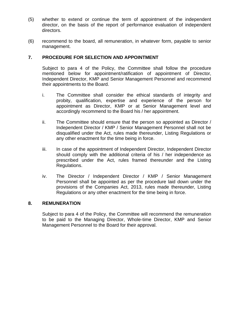- (5) whether to extend or continue the term of appointment of the independent director, on the basis of the report of performance evaluation of independent directors.
- (6) recommend to the board, all remuneration, in whatever form, payable to senior management.

#### **7. PROCEDURE FOR SELECTION AND APPOINTMENT**

Subject to para 4 of the Policy, the Committee shall follow the procedure mentioned below for appointment/ratification of appointment of Director, Independent Director, KMP and Senior Management Personnel and recommend their appointments to the Board.

- i. The Committee shall consider the ethical standards of integrity and probity, qualification, expertise and experience of the person for appointment as Director, KMP or at Senior Management level and accordingly recommend to the Board his / her appointment.
- ii. The Committee should ensure that the person so appointed as Director / Independent Director / KMP / Senior Management Personnel shall not be disqualified under the Act, rules made thereunder, Listing Regulations or any other enactment for the time being in force.
- iii. In case of the appointment of Independent Director, Independent Director should comply with the additional criteria of his / her independence as prescribed under the Act, rules framed thereunder and the Listing Regulations.
- iv. The Director / Independent Director / KMP / Senior Management Personnel shall be appointed as per the procedure laid down under the provisions of the Companies Act, 2013, rules made thereunder, Listing Regulations or any other enactment for the time being in force.

#### **8. REMUNERATION**

Subject to para 4 of the Policy, the Committee will recommend the remuneration to be paid to the Managing Director, Whole-time Director, KMP and Senior Management Personnel to the Board for their approval.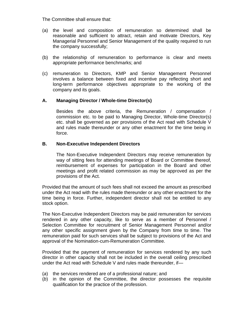The Committee shall ensure that:

- (a) the level and composition of remuneration so determined shall be reasonable and sufficient to attract, retain and motivate Directors, Key Managerial Personnel and Senior Management of the quality required to run the company successfully;
- (b) the relationship of remuneration to performance is clear and meets appropriate performance benchmarks; and
- (c) remuneration to Directors, KMP and Senior Management Personnel involves a balance between fixed and incentive pay reflecting short and long-term performance objectives appropriate to the working of the company and its goals.

#### **A. Managing Director / Whole-time Director(s)**

Besides the above criteria, the Remuneration / compensation / commission etc. to be paid to Managing Director, Whole-time Director(s) etc. shall be governed as per provisions of the Act read with Schedule V and rules made thereunder or any other enactment for the time being in force.

#### **B. Non-Executive Independent Directors**

The Non-Executive Independent Directors may receive remuneration by way of sitting fees for attending meetings of Board or Committee thereof, reimbursement of expenses for participation in the Board and other meetings and profit related commission as may be approved as per the provisions of the Act.

Provided that the amount of such fees shall not exceed the amount as prescribed under the Act read with the rules made thereunder or any other enactment for the time being in force. Further, independent director shall not be entitled to any stock option.

The Non-Executive Independent Directors may be paid remuneration for services rendered in any other capacity, like to serve as a member of Personnel / Selection Committee for recruitment of Senior Management Personnel and/or any other specific assignment given by the Company from time to time. The remuneration paid for such services shall be subject to provisions of the Act and approval of the Nomination-cum-Remuneration Committee.

Provided that the payment of remuneration for services rendered by any such director in other capacity shall not be included in the overall ceiling prescribed under the Act read with Schedule V and rules made thereunder, if—

- (*a*) the services rendered are of a professional nature; and
- (*b*) in the opinion of the Committee, the director possesses the requisite qualification for the practice of the profession.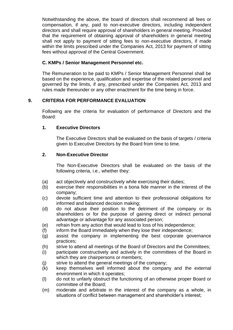Notwithstanding the above, the board of directors shall recommend all fees or compensation, if any, paid to non-executive directors, including independent directors and shall require approval of shareholders in general meeting. Provided that the requirement of obtaining approval of shareholders in general meeting shall not apply to payment of sitting fees to non-executive directors, if made within the limits prescribed under the Companies Act, 2013 for payment of sitting fees without approval of the Central Government.

# **C. KMPs / Senior Management Personnel etc.**

The Remuneration to be paid to KMPs / Senior Management Personnel shall be based on the experience, qualification and expertise of the related personnel and governed by the limits, if any, prescribed under the Companies Act, 2013 and rules made thereunder or any other enactment for the time being in force.

# **9. CRITERIA FOR PERFORMANCE EVALUATION**

Following are the criteria for evaluation of performance of Directors and the Board:

# **1. Executive Directors**

The Executive Directors shall be evaluated on the basis of targets / criteria given to Executive Directors by the Board from time to time.

# **2. Non-Executive Director**

The Non-Executive Directors shall be evaluated on the basis of the following criteria, i.e., whether they:

- (a) act objectively and constructively while exercising their duties;
- (b) exercise their responsibilities in a bona fide manner in the interest of the company;
- (c) devote sufficient time and attention to their professional obligations for informed and balanced decision making;
- (d) do not abuse their position to the detriment of the company or its shareholders or for the purpose of gaining direct or indirect personal advantage or advantage for any associated person;
- (e) refrain from any action that would lead to loss of his independence;
- (f) inform the Board immediately when they lose their independence;
- (g) assist the company in implementing the best corporate governance practices;
- (h) strive to attend all meetings of the Board of Directors and the Committees;
- (i) participate constructively and actively in the committees of the Board in which they are chairpersons or members;
- (j) strive to attend the general meetings of the company;
- (k) keep themselves well informed about the company and the external environment in which it operates;
- (l) do not to unfairly obstruct the functioning of an otherwise proper Board or committee of the Board;
- (m) moderate and arbitrate in the interest of the company as a whole, in situations of conflict between management and shareholder's interest;